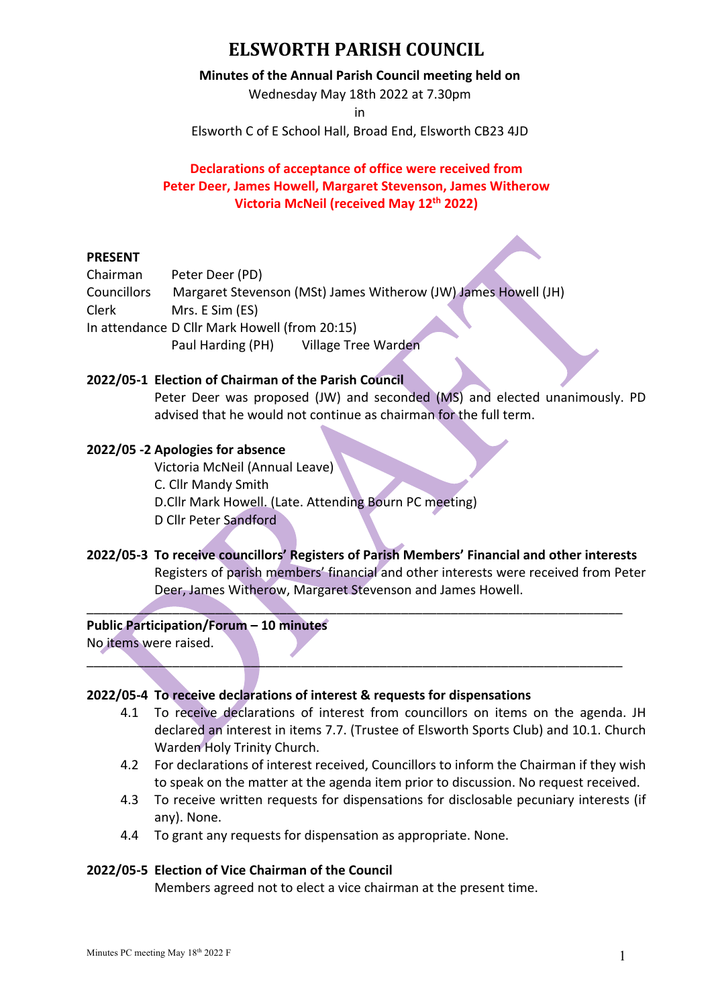#### **Minutes of the Annual Parish Council meeting held on**

Wednesday May 18th 2022 at 7.30pm

in

Elsworth C of E School Hall, Broad End, Elsworth CB23 4JD

# **Declarations of acceptance of office were received from Peter Deer, James Howell, Margaret Stevenson, James Witherow Victoria McNeil (received May 12th 2022)**

### **PRESENT**

| Chairman                                      | Peter Deer (PD)                                                |  |
|-----------------------------------------------|----------------------------------------------------------------|--|
| <b>Councillors</b>                            | Margaret Stevenson (MSt) James Witherow (JW) James Howell (JH) |  |
| <b>Clerk</b>                                  | Mrs. E Sim (ES)                                                |  |
| In attendance D Cllr Mark Howell (from 20:15) |                                                                |  |
|                                               | <b>Village Tree Warden</b><br>Paul Harding (PH)                |  |

### **2022/05-1 Election of Chairman of the Parish Council**

Peter Deer was proposed (JW) and seconded (MS) and elected unanimously. PD advised that he would not continue as chairman for the full term.

# **2022/05 -2 Apologies for absence**

Victoria McNeil (Annual Leave) C. Cllr Mandy Smith D.Cllr Mark Howell. (Late. Attending Bourn PC meeting) D Cllr Peter Sandford

**2022/05-3 To receive councillors' Registers of Parish Members' Financial and other interests**  Registers of parish members' financial and other interests were received from Peter Deer, James Witherow, Margaret Stevenson and James Howell.

 $\mathcal{L} = \mathcal{L} \mathcal{L} = \mathcal{L} \mathcal{L}$  , where  $\mathcal{L} = \mathcal{L} \mathcal{L}$  , where  $\mathcal{L} = \mathcal{L} \mathcal{L}$  , where  $\mathcal{L} = \mathcal{L} \mathcal{L}$ 

 $\mathcal{L} = \{ \mathcal{L} \mid \mathcal{L} \in \mathcal{L} \}$  , where  $\mathcal{L} = \{ \mathcal{L} \mid \mathcal{L} \in \mathcal{L} \}$  , where  $\mathcal{L} = \{ \mathcal{L} \mid \mathcal{L} \in \mathcal{L} \}$  , where  $\mathcal{L} = \{ \mathcal{L} \mid \mathcal{L} \in \mathcal{L} \}$ 

**Public Participation/Forum – 10 minutes** No items were raised.

### **2022/05-4 To receive declarations of interest & requests for dispensations**

- 4.1 To receive declarations of interest from councillors on items on the agenda. JH declared an interest in items 7.7. (Trustee of Elsworth Sports Club) and 10.1. Church Warden Holy Trinity Church.
- 4.2 For declarations of interest received, Councillors to inform the Chairman if they wish to speak on the matter at the agenda item prior to discussion. No request received.
- 4.3 To receive written requests for dispensations for disclosable pecuniary interests (if any). None.
- 4.4 To grant any requests for dispensation as appropriate. None.

### **2022/05-5 Election of Vice Chairman of the Council**

Members agreed not to elect a vice chairman at the present time.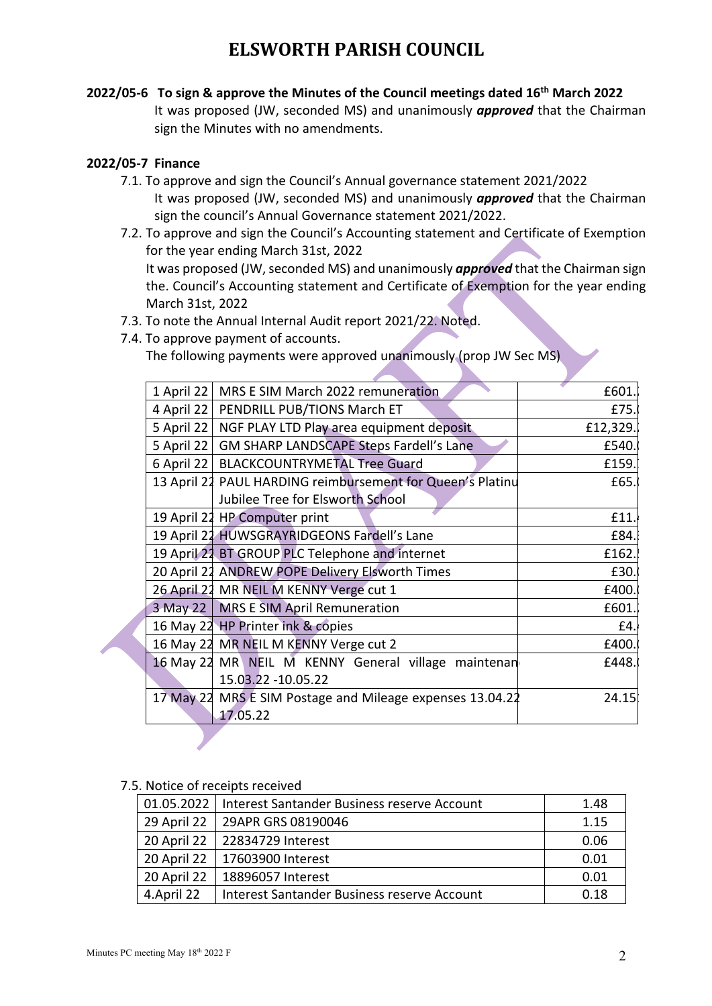**2022/05-6 To sign & approve the Minutes of the Council meetings dated 16th March 2022**  It was proposed (JW, seconded MS) and unanimously *approved* that the Chairman sign the Minutes with no amendments.

### **2022/05-7 Finance**

- 7.1. To approve and sign the Council's Annual governance statement 2021/2022 It was proposed (JW, seconded MS) and unanimously *approved* that the Chairman sign the council's Annual Governance statement 2021/2022.
- 7.2. To approve and sign the Council's Accounting statement and Certificate of Exemption for the year ending March 31st, 2022 It was proposed (JW, seconded MS) and unanimously *approved* that the Chairman sign the. Council's Accounting statement and Certificate of Exemption for the year ending March 31st, 2022
- 7.3. To note the Annual Internal Audit report 2021/22. Noted.
- 7.4. To approve payment of accounts. The following payments were approved unanimously (prop JW Sec MS)

| 1 April 22 | MRS E SIM March 2022 remuneration                          | £601     |
|------------|------------------------------------------------------------|----------|
| 4 April 22 | PENDRILL PUB/TIONS March ET                                | £75.     |
| 5 April 22 | NGF PLAY LTD Play area equipment deposit                   | £12,329. |
| 5 April 22 | <b>GM SHARP LANDSCAPE Steps Fardell's Lane</b>             | £540.    |
|            | 6 April 22   BLACKCOUNTRYMETAL Tree Guard                  | £159.    |
|            | 13 April 21 PAUL HARDING reimbursement for Queen's Platinu | £65.     |
|            | Jubilee Tree for Elsworth School                           |          |
|            | 19 April 22 HP Computer print                              | £11.     |
|            | 19 April 21 HUWSGRAYRIDGEONS Fardell's Lane                | £84.     |
|            | 19 April 21 BT GROUP PLC Telephone and internet            | £162.    |
|            | 20 April 21 ANDREW POPE Delivery Elsworth Times            | £30.     |
|            | 26 April 22 MR NEIL M KENNY Verge cut 1                    | £400.    |
|            | 3 May 22   MRS E SIM April Remuneration                    | £601     |
|            | 16 May 22 HP Printer ink & copies                          | £4.      |
|            | 16 May 22 MR NEIL M KENNY Verge cut 2                      | £400.    |
|            | 16 May 22 MR NEIL M KENNY General village maintenan        | £448.    |
|            | 15.03.22 - 10.05.22                                        |          |
|            | 17 May 22 MRS E SIM Postage and Mileage expenses 13.04.22  | 24.15    |
|            | 17.05.22                                                   |          |

#### 7.5. Notice of receipts received

|             | 01.05.2022   Interest Santander Business reserve Account | 1.48 |
|-------------|----------------------------------------------------------|------|
|             | 29 April 22   29APR GRS 08190046                         | 1.15 |
|             | 20 April 22   22834729 Interest                          | 0.06 |
|             | 20 April 22   17603900 Interest                          | 0.01 |
| 20 April 22 | 18896057 Interest                                        | 0.01 |
| 4.April 22  | Interest Santander Business reserve Account              | 0.18 |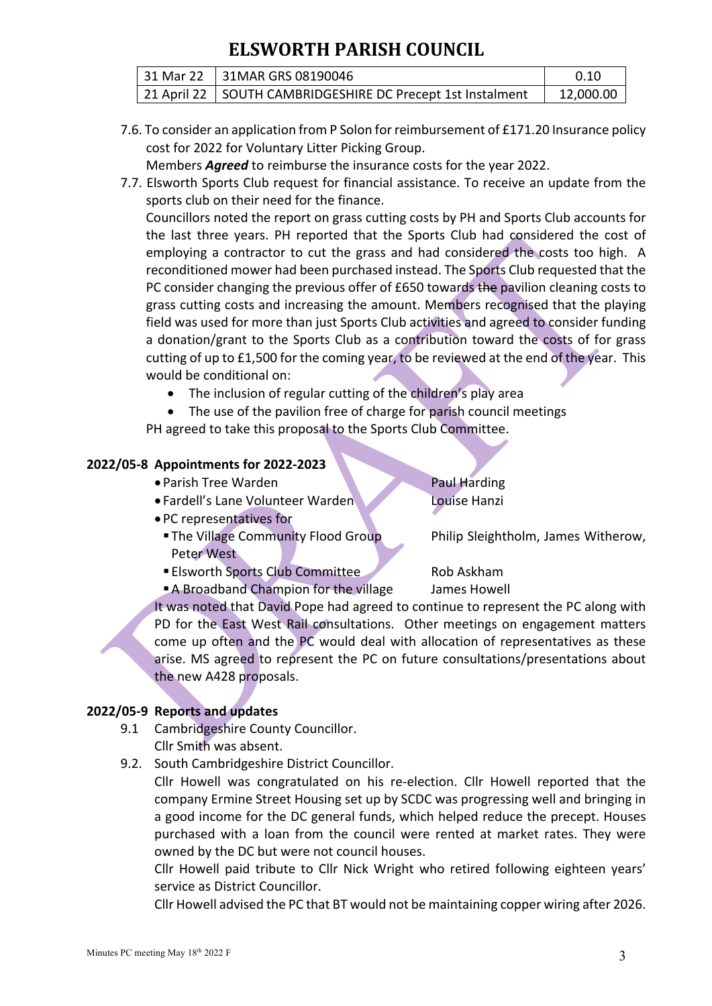| 31 Mar 22 31MAR GRS 08190046                                 |           |
|--------------------------------------------------------------|-----------|
| 21 April 22   SOUTH CAMBRIDGESHIRE DC Precept 1st Instalment | 12,000.00 |

7.6. To consider an application from P Solon for reimbursement of £171.20 Insurance policy cost for 2022 for Voluntary Litter Picking Group.

Members *Agreed* to reimburse the insurance costs for the year 2022.

7.7. Elsworth Sports Club request for financial assistance. To receive an update from the sports club on their need for the finance.

Councillors noted the report on grass cutting costs by PH and Sports Club accounts for the last three years. PH reported that the Sports Club had considered the cost of employing a contractor to cut the grass and had considered the costs too high. A reconditioned mower had been purchased instead. The Sports Club requested that the PC consider changing the previous offer of £650 towards the pavilion cleaning costs to grass cutting costs and increasing the amount. Members recognised that the playing field was used for more than just Sports Club activities and agreed to consider funding a donation/grant to the Sports Club as a contribution toward the costs of for grass cutting of up to £1,500 for the coming year, to be reviewed at the end of the year. This would be conditional on:

- The inclusion of regular cutting of the children's play area
- The use of the pavilion free of charge for parish council meetings

PH agreed to take this proposal to the Sports Club Committee.

# **2022/05-8 Appointments for 2022-2023**

- Parish Tree Warden Paul Harding
- Fardell's Lane Volunteer Warden Louise Hanzi
- PC representatives for
	- The Village Community Flood Group Philip Sleightholm, James Witherow, Peter West
	- Elsworth Sports Club Committee Rob Askham
	- A Broadband Champion for the village James Howell

It was noted that David Pope had agreed to continue to represent the PC along with PD for the East West Rail consultations. Other meetings on engagement matters come up often and the PC would deal with allocation of representatives as these arise. MS agreed to represent the PC on future consultations/presentations about the new A428 proposals.

# **2022/05-9 Reports and updates**

- 9.1 Cambridgeshire County Councillor. Cllr Smith was absent.
- 9.2. South Cambridgeshire District Councillor.

Cllr Howell was congratulated on his re-election. Cllr Howell reported that the company Ermine Street Housing set up by SCDC was progressing well and bringing in a good income for the DC general funds, which helped reduce the precept. Houses purchased with a loan from the council were rented at market rates. They were owned by the DC but were not council houses.

Cllr Howell paid tribute to Cllr Nick Wright who retired following eighteen years' service as District Councillor.

Cllr Howell advised the PC that BT would not be maintaining copper wiring after 2026.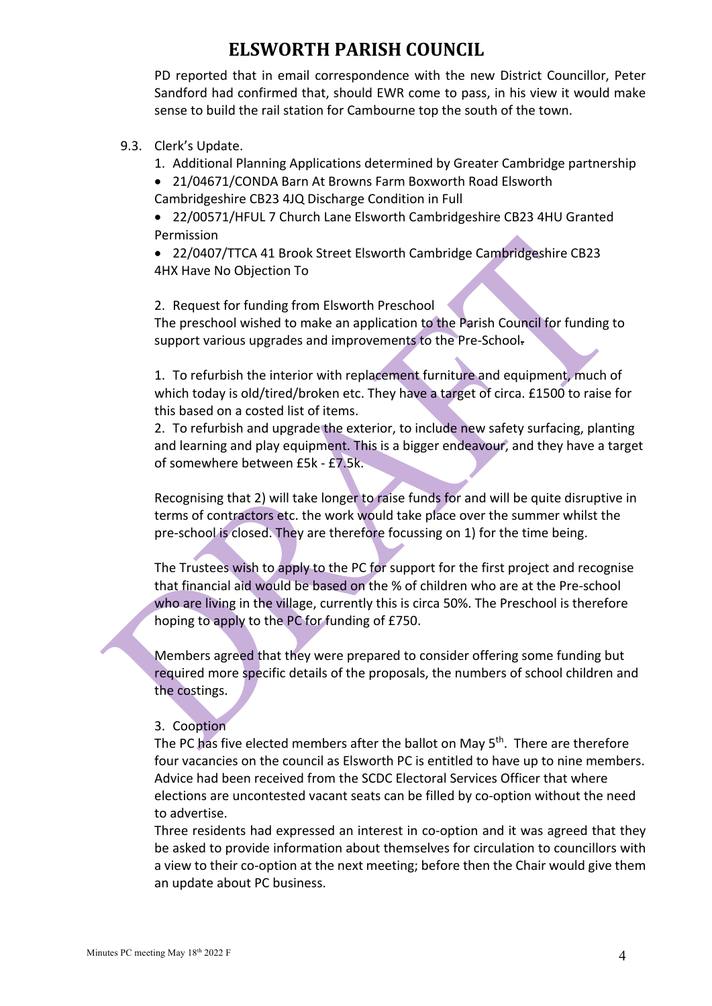PD reported that in email correspondence with the new District Councillor, Peter Sandford had confirmed that, should EWR come to pass, in his view it would make sense to build the rail station for Cambourne top the south of the town.

### 9.3. Clerk's Update.

- 1. Additional Planning Applications determined by Greater Cambridge partnership
- 21/04671/CONDA Barn At Browns Farm Boxworth Road Elsworth Cambridgeshire CB23 4JQ Discharge Condition in Full

• 22/00571/HFUL 7 Church Lane Elsworth Cambridgeshire CB23 4HU Granted Permission

• 22/0407/TTCA 41 Brook Street Elsworth Cambridge Cambridgeshire CB23 4HX Have No Objection To

2. Request for funding from Elsworth Preschool

The preschool wished to make an application to the Parish Council for funding to support various upgrades and improvements to the Pre-School-

1. To refurbish the interior with replacement furniture and equipment, much of which today is old/tired/broken etc. They have a target of circa. £1500 to raise for this based on a costed list of items.

2. To refurbish and upgrade the exterior, to include new safety surfacing, planting and learning and play equipment. This is a bigger endeavour, and they have a target of somewhere between £5k - £7.5k.

Recognising that 2) will take longer to raise funds for and will be quite disruptive in terms of contractors etc. the work would take place over the summer whilst the pre-school is closed. They are therefore focussing on 1) for the time being.

The Trustees wish to apply to the PC for support for the first project and recognise that financial aid would be based on the % of children who are at the Pre-school who are living in the village, currently this is circa 50%. The Preschool is therefore hoping to apply to the PC for funding of £750.

Members agreed that they were prepared to consider offering some funding but required more specific details of the proposals, the numbers of school children and the costings.

### 3. Cooption

The PC has five elected members after the ballot on May 5<sup>th</sup>. There are therefore four vacancies on the council as Elsworth PC is entitled to have up to nine members. Advice had been received from the SCDC Electoral Services Officer that where elections are uncontested vacant seats can be filled by co-option without the need to advertise.

Three residents had expressed an interest in co-option and it was agreed that they be asked to provide information about themselves for circulation to councillors with a view to their co-option at the next meeting; before then the Chair would give them an update about PC business.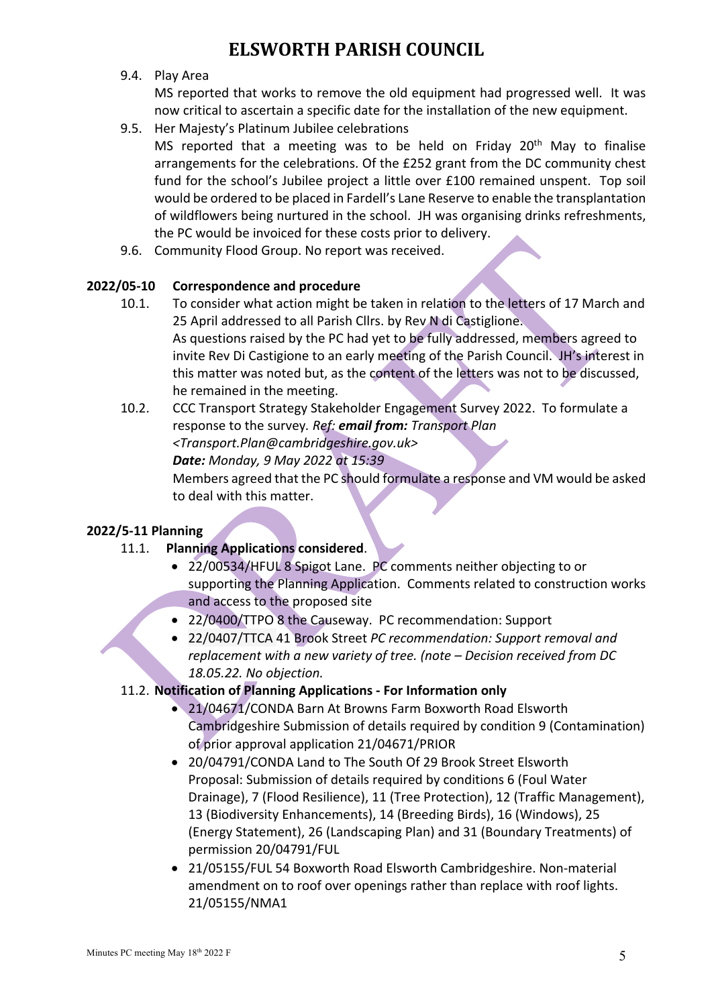### 9.4. Play Area

MS reported that works to remove the old equipment had progressed well. It was now critical to ascertain a specific date for the installation of the new equipment.

- 9.5. Her Majesty's Platinum Jubilee celebrations
	- MS reported that a meeting was to be held on Friday 20<sup>th</sup> May to finalise arrangements for the celebrations. Of the £252 grant from the DC community chest fund for the school's Jubilee project a little over £100 remained unspent. Top soil would be ordered to be placed in Fardell's Lane Reserve to enable the transplantation of wildflowers being nurtured in the school. JH was organising drinks refreshments, the PC would be invoiced for these costs prior to delivery.
- 9.6. Community Flood Group. No report was received.

### **2022/05-10 Correspondence and procedure**

- 10.1. To consider what action might be taken in relation to the letters of 17 March and 25 April addressed to all Parish Cllrs. by Rev N di Castiglione. As questions raised by the PC had yet to be fully addressed, members agreed to invite Rev Di Castigione to an early meeting of the Parish Council. JH's interest in this matter was noted but, as the content of the letters was not to be discussed, he remained in the meeting.
- 10.2. CCC Transport Strategy Stakeholder Engagement Survey 2022. To formulate a response to the survey*. Ref: email from: Transport Plan <Transport.Plan@cambridgeshire.gov.uk> Date: Monday, 9 May 2022 at 15:39* Members agreed that the PC should formulate a response and VM would be asked to deal with this matter.

# **2022/5-11 Planning**

# 11.1. **Planning Applications considered**.

- 22/00534/HFUL 8 Spigot Lane. PC comments neither objecting to or supporting the Planning Application. Comments related to construction works and access to the proposed site
- 22/0400/TTPO 8 the Causeway. PC recommendation: Support
- 22/0407/TTCA 41 Brook Street *PC recommendation: Support removal and replacement with a new variety of tree. (note – Decision received from DC 18.05.22. No objection.*

# 11.2. **Notification of Planning Applications - For Information only**

- 21/04671/CONDA Barn At Browns Farm Boxworth Road Elsworth Cambridgeshire Submission of details required by condition 9 (Contamination) of prior approval application 21/04671/PRIOR
- 20/04791/CONDA Land to The South Of 29 Brook Street Elsworth Proposal: Submission of details required by conditions 6 (Foul Water Drainage), 7 (Flood Resilience), 11 (Tree Protection), 12 (Traffic Management), 13 (Biodiversity Enhancements), 14 (Breeding Birds), 16 (Windows), 25 (Energy Statement), 26 (Landscaping Plan) and 31 (Boundary Treatments) of permission 20/04791/FUL
- 21/05155/FUL 54 Boxworth Road Elsworth Cambridgeshire. Non-material amendment on to roof over openings rather than replace with roof lights. 21/05155/NMA1